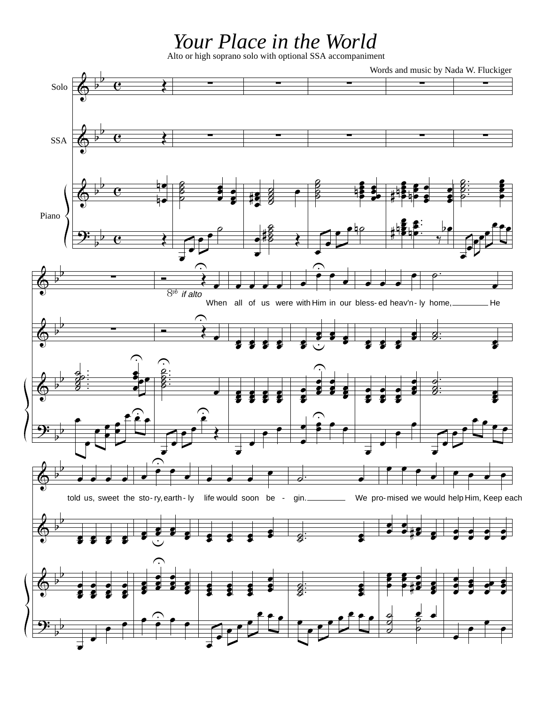## Your Place in the World<br>Alto or high soprano solo with optional SSA accompaniment

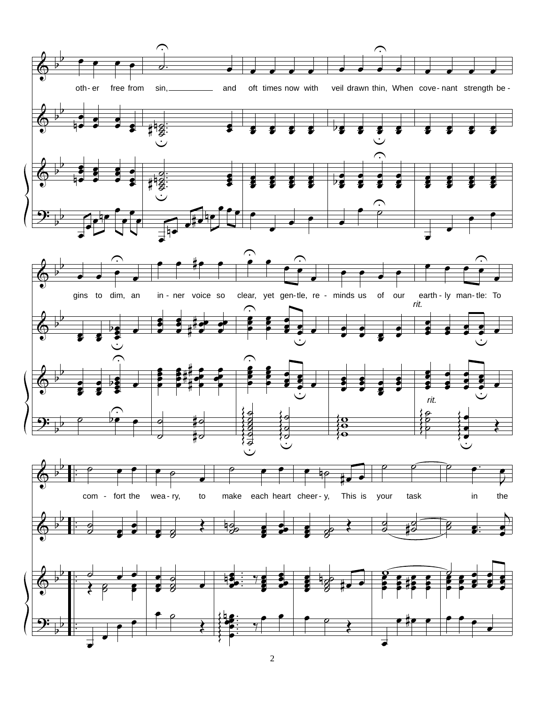

2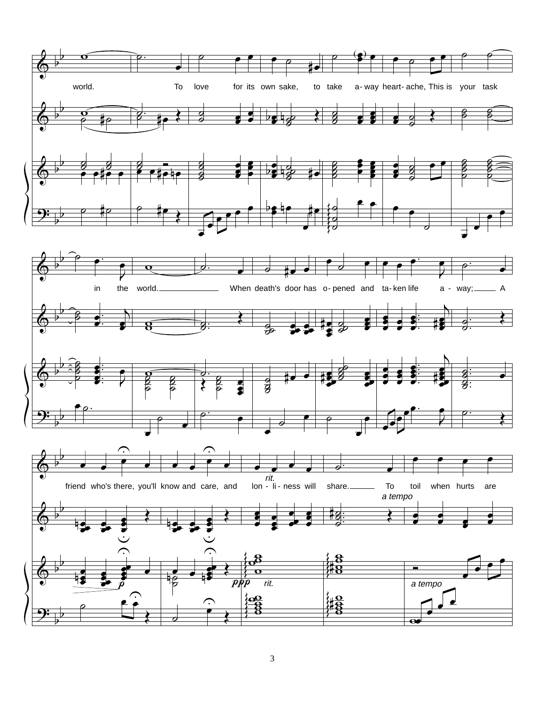